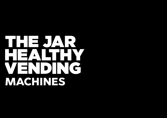## HEIEUANE HEIZALTH N. VENDING MACHINES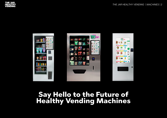

#### Say Hello to the Future of Healthy Vending Machines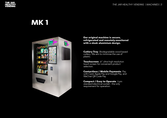#### MK 1



Our original machine is secure, refrigerated and remotely-monitored with a sleek aluminium design.

Cutlery Tray. Biodegradable wood based cutlery. We aim to minimise the use of plastic.

Touchscreen. 21" ultra-high resolution touch screen for convenient product selection.

Contactless / Mobile Payments. Pay with Card, Apple Pay and Google Pay, and WeChat QR Code Pay

Compact / Easy to Operate. 3 pin standard electrical socket - the only requirement for operation.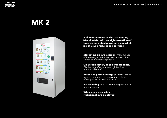

### **MK 2**



A slimmer version of The Jar Vending Machine Mk1 with an high resolution 41'' touchscreen. Ideal place for the marketing of your products and services.

Marketing on large screen. Make full use of the enlarged, ultra high resolution 42" touch screen to market your product.

On Screen dietary requirements filter. Display vegan/vegetarian or gluten free options and more.

**Extensive product range** of snacks, drinks, meals. The venue can completely customise the offering or let us do all the work.

Fast vending. Purchase multiple products in one transaction.

Wheelchair accessible Nutritional info displayed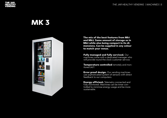![](_page_4_Picture_0.jpeg)

#### MK 3

![](_page_4_Picture_3.jpeg)

The mix of the best features from Mk1 and Mk2. Same amount of storage as in Mk2 while also being compact in its dimensions. Can be supplied in any colour to match your venue.

Fully managed and fully serviced. Our machines come with a dedicated manager who will provide round the clock customer service.

Temperature controlled remotely and monitored 24/7.

**Error proof design.** Our vending machines use sophisticated system of sensors with direct feedback to our computers.

**Energy efficient.** Telemetry connected and fully monitored. Machines can be timer controlled to minimise energy usage and be more sustainable.